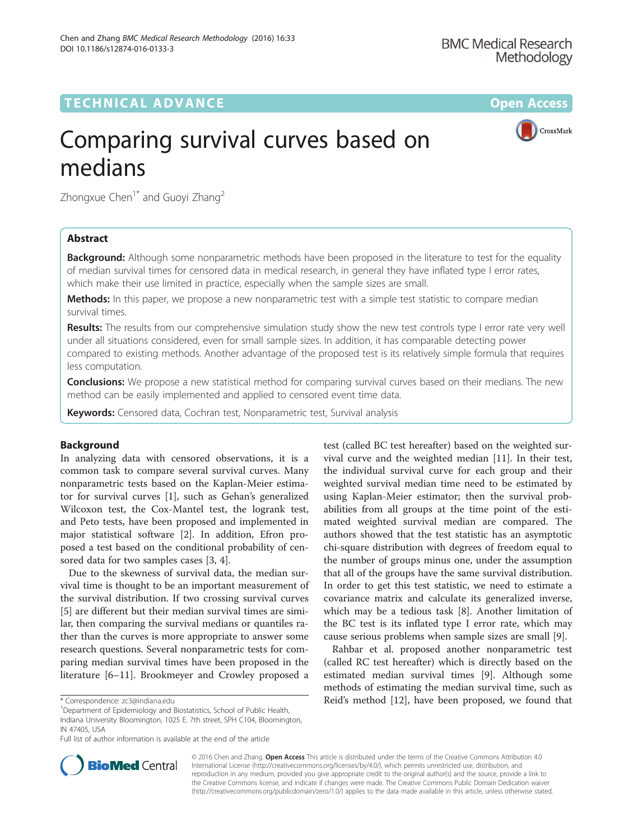## TECHNICAL ADVANCE A CONTROLLER CHARGE AND LODGED ACCESS OPEN ACCESS

CrossMark

# Comparing survival curves based on medians

Zhongxue Chen<sup>1\*</sup> and Guoyi Zhang<sup>2</sup>

### Abstract

**Background:** Although some nonparametric methods have been proposed in the literature to test for the equality of median survival times for censored data in medical research, in general they have inflated type I error rates, which make their use limited in practice, especially when the sample sizes are small.

Methods: In this paper, we propose a new nonparametric test with a simple test statistic to compare median survival times.

Results: The results from our comprehensive simulation study show the new test controls type I error rate very well under all situations considered, even for small sample sizes. In addition, it has comparable detecting power compared to existing methods. Another advantage of the proposed test is its relatively simple formula that requires less computation.

**Conclusions:** We propose a new statistical method for comparing survival curves based on their medians. The new method can be easily implemented and applied to censored event time data.

Keywords: Censored data, Cochran test, Nonparametric test, Survival analysis

#### Background

In analyzing data with censored observations, it is a common task to compare several survival curves. Many nonparametric tests based on the Kaplan-Meier estimator for survival curves [\[1](#page-6-0)], such as Gehan's generalized Wilcoxon test, the Cox-Mantel test, the logrank test, and Peto tests, have been proposed and implemented in major statistical software [[2\]](#page-6-0). In addition, Efron proposed a test based on the conditional probability of censored data for two samples cases [[3, 4\]](#page-6-0).

Due to the skewness of survival data, the median survival time is thought to be an important measurement of the survival distribution. If two crossing survival curves [[5\]](#page-6-0) are different but their median survival times are similar, then comparing the survival medians or quantiles rather than the curves is more appropriate to answer some research questions. Several nonparametric tests for comparing median survival times have been proposed in the literature [[6](#page-6-0)–[11](#page-6-0)]. Brookmeyer and Crowley proposed a

<sup>1</sup>Department of Epidemiology and Biostatistics, School of Public Health Indiana University Bloomington, 1025 E. 7th street, SPH C104, Bloomington, IN 47405, USA

test (called BC test hereafter) based on the weighted survival curve and the weighted median [\[11\]](#page-6-0). In their test, the individual survival curve for each group and their weighted survival median time need to be estimated by using Kaplan-Meier estimator; then the survival probabilities from all groups at the time point of the estimated weighted survival median are compared. The authors showed that the test statistic has an asymptotic chi-square distribution with degrees of freedom equal to the number of groups minus one, under the assumption that all of the groups have the same survival distribution. In order to get this test statistic, we need to estimate a covariance matrix and calculate its generalized inverse, which may be a tedious task [\[8](#page-6-0)]. Another limitation of the BC test is its inflated type I error rate, which may cause serious problems when sample sizes are small [[9\]](#page-6-0).

Rahbar et al. proposed another nonparametric test (called RC test hereafter) which is directly based on the estimated median survival times [[9\]](#page-6-0). Although some methods of estimating the median survival time, such as \* Correspondence: [zc3@indiana.edu](mailto:zc3@indiana.edu) Reid's method [[12](#page-6-0)], have been proposed, we found that <sup>1</sup>



© 2016 Chen and Zhang. Open Access This article is distributed under the terms of the Creative Commons Attribution 4.0 International License [\(http://creativecommons.org/licenses/by/4.0/](http://creativecommons.org/licenses/by/4.0/)), which permits unrestricted use, distribution, and reproduction in any medium, provided you give appropriate credit to the original author(s) and the source, provide a link to the Creative Commons license, and indicate if changes were made. The Creative Commons Public Domain Dedication waiver [\(http://creativecommons.org/publicdomain/zero/1.0/](http://creativecommons.org/publicdomain/zero/1.0/)) applies to the data made available in this article, unless otherwise stated.

Full list of author information is available at the end of the article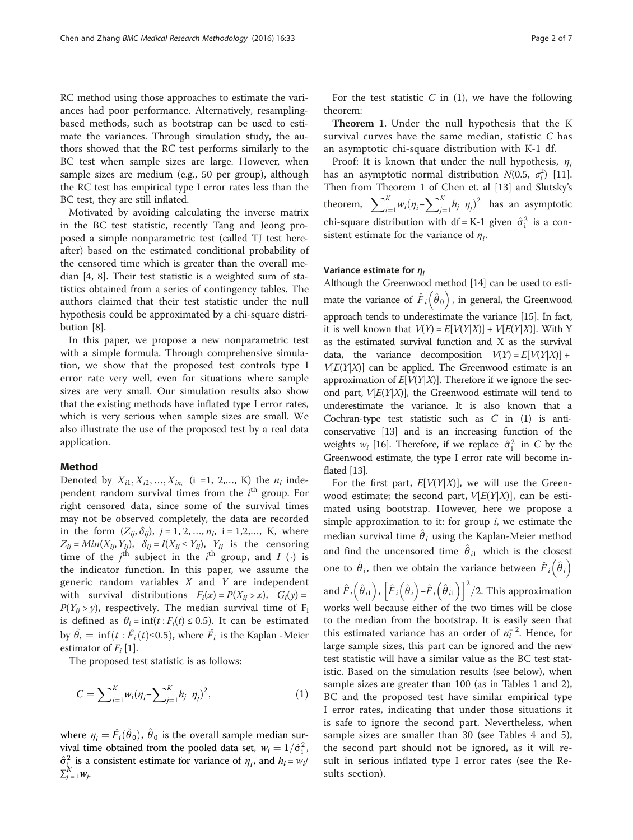RC method using those approaches to estimate the variances had poor performance. Alternatively, resamplingbased methods, such as bootstrap can be used to estimate the variances. Through simulation study, the authors showed that the RC test performs similarly to the BC test when sample sizes are large. However, when sample sizes are medium (e.g., 50 per group), although the RC test has empirical type I error rates less than the BC test, they are still inflated.

Motivated by avoiding calculating the inverse matrix in the BC test statistic, recently Tang and Jeong proposed a simple nonparametric test (called TJ test hereafter) based on the estimated conditional probability of the censored time which is greater than the overall median [\[4](#page-6-0), [8\]](#page-6-0). Their test statistic is a weighted sum of statistics obtained from a series of contingency tables. The authors claimed that their test statistic under the null hypothesis could be approximated by a chi-square distribution [[8](#page-6-0)].

In this paper, we propose a new nonparametric test with a simple formula. Through comprehensive simulation, we show that the proposed test controls type I error rate very well, even for situations where sample sizes are very small. Our simulation results also show that the existing methods have inflated type I error rates, which is very serious when sample sizes are small. We also illustrate the use of the proposed test by a real data application.

#### Method

Denoted by  $X_{i1}, X_{i2}, ..., X_{in_i}$  (i =1, 2,..., K) the  $n_i$  independent random survival times from the  $i^{\text{th}}$  group. For right censored data, since some of the survival times may not be observed completely, the data are recorded in the form  $(Z_{ij}, \delta_{ij}), j = 1, 2, ..., n_i, i = 1, 2, ..., K$ , where  $Z_{ij} = Min(X_{ij}, Y_{ij}), \ \ \delta_{ij} = I(X_{ij} \le Y_{ij}), \ \ Y_{ij}$  is the censoring time of the  $j<sup>th</sup>$  subject in the  $i<sup>th</sup>$  group, and  $I(\cdot)$  is the indicator function. In this paper, we assume the generic random variables  $X$  and  $Y$  are independent with survival distributions  $F_i(x) = P(X_{ii} > x)$ ,  $G_i(y) =$  $P(Y_{ij} > y)$ , respectively. The median survival time of F<sub>i</sub> is defined as  $\theta_i = \inf(t : F_i(t) \le 0.5)$ . It can be estimated by  $\hat{\theta}_i = \inf(t : \hat{F}_i(t) \le 0.5)$ , where  $\hat{F}_i$  is the Kaplan -Meier estimator of  $F_i$  [\[1\]](#page-6-0).

The proposed test statistic is as follows:

$$
C = \sum_{i=1}^{K} w_i (\eta_i - \sum_{j=1}^{K} h_j \eta_j)^2, \qquad (1)
$$

where  $\eta_i = \hat{F}_i(\hat{\theta}_0)$ ,  $\hat{\theta}_0$  is the overall sample median survival time obtained from the pooled data set,  $w_i = 1/\hat{\sigma}_i^2$ ,  $\hat{\sigma}_{i}^2$  is a consistent estimate for variance of  $\eta_i$ , and  $h_i = w_i/2$  $\sum_{j=1}^{\tilde{K}} w_j$ .

For the test statistic  $C$  in (1), we have the following theorem:

Theorem 1. Under the null hypothesis that the K survival curves have the same median, statistic C has an asymptotic chi-square distribution with K-1 df.

Proof: It is known that under the null hypothesis,  $\eta_i$ has an asymptotic normal distribution  $N(0.5, \sigma_i^2)$  [\[11](#page-6-0)]. Then from Theorem 1 of Chen et. al [[13](#page-6-0)] and Slutsky's theorem,  $\sum_{i=1}^{K} w_i (\eta_i - \sum_{j=1}^{K} w_j)$  $\sum_{j=1}^K h_j \eta_j^2$  has an asymptotic chi-square distribution with df = K-1 given  $\hat{\sigma}_i^2$  is a consistent estimate for the variance of  $\eta_i$ .

#### Variance estimate for  $\eta_i$

Although the Greenwood method [\[14\]](#page-6-0) can be used to estimate the variance of  $\hat{F}_i (\hat{\theta}_0)$ , in general, the Greenwood approach tends to underestimate the variance [\[15](#page-6-0)]. In fact, it is well known that  $V(Y) = E[V(Y|X)] + V[E(Y|X)]$ . With Y as the estimated survival function and X as the survival data, the variance decomposition  $V(Y) = E[V(Y|X)] +$  $V[E(Y|X)]$  can be applied. The Greenwood estimate is an approximation of  $E[V(Y|X)]$ . Therefore if we ignore the second part,  $V[E(Y|X)]$ , the Greenwood estimate will tend to underestimate the variance. It is also known that a Cochran-type test statistic such as C in (1) is anticonservative [\[13](#page-6-0)] and is an increasing function of the weights  $w_i$  [\[16](#page-6-0)]. Therefore, if we replace  $\hat{\sigma}_i^2$  in C by the Greenwood estimate, the type I error rate will become inflated [[13](#page-6-0)].

For the first part,  $E[V(Y|X)]$ , we will use the Greenwood estimate; the second part,  $V[E(Y|X)]$ , can be estimated using bootstrap. However, here we propose a simple approximation to it: for group  $i$ , we estimate the median survival time  $\hat{\theta}_i$  using the Kaplan-Meier method and find the uncensored time  $\hat{\theta}_{i1}$  which is the closest one to  $\hat{\theta}_i$ , then we obtain the variance between  $\hat{F}_i (\hat{\theta}_i)$ and  $\hat{F}_i (\hat{\theta}_{i1}), [\hat{F}_i (\hat{\theta}_{i}) - \hat{F}_i (\hat{\theta}_{i1})]^2/2$ . This approximation works well because either of the two times will be close to the median from the bootstrap. It is easily seen that this estimated variance has an order of  $n_i^{-2}$ . Hence, for large sample sizes, this part can be ignored and the new test statistic will have a similar value as the BC test statistic. Based on the simulation results (see below), when sample sizes are greater than 100 (as in Tables [1](#page-2-0) and [2](#page-2-0)), BC and the proposed test have similar empirical type I error rates, indicating that under those situations it is safe to ignore the second part. Nevertheless, when sample sizes are smaller than 30 (see Tables [4](#page-4-0) and [5](#page-4-0)), the second part should not be ignored, as it will result in serious inflated type I error rates (see the [Re](#page-3-0)[sults](#page-3-0) section).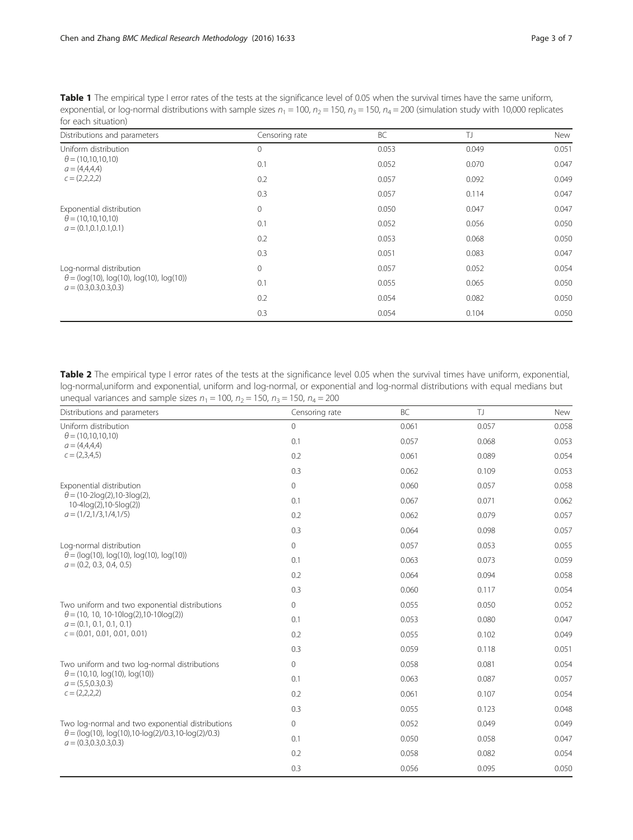<span id="page-2-0"></span>Table 1 The empirical type I error rates of the tests at the significance level of 0.05 when the survival times have the same uniform, exponential, or log-normal distributions with sample sizes  $n_1 = 100$ ,  $n_2 = 150$ ,  $n_3 = 150$ ,  $n_4 = 200$  (simulation study with 10,000 replicates for each situation)

| Distributions and parameters                                                                             | Censoring rate | BC    | TJ    | New   |
|----------------------------------------------------------------------------------------------------------|----------------|-------|-------|-------|
| Uniform distribution<br>$\theta = (10, 10, 10, 10)$<br>$a = (4,4,4,4)$<br>$c = (2,2,2,2)$                | 0              | 0.053 | 0.049 | 0.051 |
|                                                                                                          | 0.1            | 0.052 | 0.070 | 0.047 |
|                                                                                                          | 0.2            | 0.057 | 0.092 | 0.049 |
|                                                                                                          | 0.3            | 0.057 | 0.114 | 0.047 |
| Exponential distribution<br>$\theta = (10, 10, 10, 10)$<br>$a = (0.1, 0.1, 0.1, 0.1)$                    | 0              | 0.050 | 0.047 | 0.047 |
|                                                                                                          | 0.1            | 0.052 | 0.056 | 0.050 |
|                                                                                                          | 0.2            | 0.053 | 0.068 | 0.050 |
|                                                                                                          | 0.3            | 0.051 | 0.083 | 0.047 |
| Log-normal distribution<br>$\theta = (log(10), log(10), log(10), log(10))$<br>$a = (0.3, 0.3, 0.3, 0.3)$ | 0              | 0.057 | 0.052 | 0.054 |
|                                                                                                          | 0.1            | 0.055 | 0.065 | 0.050 |
|                                                                                                          | 0.2            | 0.054 | 0.082 | 0.050 |
|                                                                                                          | 0.3            | 0.054 | 0.104 | 0.050 |

Table 2 The empirical type I error rates of the tests at the significance level 0.05 when the survival times have uniform, exponential, log-normal,uniform and exponential, uniform and log-normal, or exponential and log-normal distributions with equal medians but unequal variances and sample sizes  $n_1 = 100$ ,  $n_2 = 150$ ,  $n_3 = 150$ ,  $n_4 = 200$ 

| Distributions and parameters                                                                  | Censoring rate | <b>BC</b> | T)    | New   |
|-----------------------------------------------------------------------------------------------|----------------|-----------|-------|-------|
| Uniform distribution<br>$\theta = (10, 10, 10, 10)$<br>$a = (4,4,4,4)$<br>$c = (2,3,4,5)$     | 0              | 0.061     | 0.057 | 0.058 |
|                                                                                               | 0.1            | 0.057     | 0.068 | 0.053 |
|                                                                                               | 0.2            | 0.061     | 0.089 | 0.054 |
|                                                                                               | 0.3            | 0.062     | 0.109 | 0.053 |
| Exponential distribution                                                                      | $\mathbf{0}$   | 0.060     | 0.057 | 0.058 |
| $\theta = (10-2\log(2), 10-3\log(2)),$<br>$10-4log(2), 10-5log(2))$                           | 0.1            | 0.067     | 0.071 | 0.062 |
| $a = (1/2, 1/3, 1/4, 1/5)$                                                                    | 0.2            | 0.062     | 0.079 | 0.057 |
|                                                                                               | 0.3            | 0.064     | 0.098 | 0.057 |
| Log-normal distribution                                                                       | 0              | 0.057     | 0.053 | 0.055 |
| $\theta = (log(10), log(10), log(10), log(10))$<br>$a = (0.2, 0.3, 0.4, 0.5)$                 | 0.1            | 0.063     | 0.073 | 0.059 |
|                                                                                               | 0.2            | 0.064     | 0.094 | 0.058 |
|                                                                                               | 0.3            | 0.060     | 0.117 | 0.054 |
| Two uniform and two exponential distributions                                                 | 0              | 0.055     | 0.050 | 0.052 |
| $\theta$ = (10, 10, 10-10log(2), 10-10log(2))<br>$a = (0.1, 0.1, 0.1, 0.1)$                   | 0.1            | 0.053     | 0.080 | 0.047 |
| $c = (0.01, 0.01, 0.01, 0.01)$                                                                | 0.2            | 0.055     | 0.102 | 0.049 |
|                                                                                               | 0.3            | 0.059     | 0.118 | 0.051 |
| Two uniform and two log-normal distributions                                                  | $\mathbf{0}$   | 0.058     | 0.081 | 0.054 |
| $\theta$ = (10,10, log(10), log(10))<br>$a = (5,5,0.3,0.3)$<br>$c = (2,2,2,2)$                | 0.1            | 0.063     | 0.087 | 0.057 |
|                                                                                               | 0.2            | 0.061     | 0.107 | 0.054 |
|                                                                                               | 0.3            | 0.055     | 0.123 | 0.048 |
| Two log-normal and two exponential distributions                                              | 0              | 0.052     | 0.049 | 0.049 |
| $\theta = (log(10), log(10), 10 - log(2)/0.3, 10 - log(2)/0.3)$<br>$a = (0.3, 0.3, 0.3, 0.3)$ | 0.1            | 0.050     | 0.058 | 0.047 |
|                                                                                               | 0.2            | 0.058     | 0.082 | 0.054 |
|                                                                                               | 0.3            | 0.056     | 0.095 | 0.050 |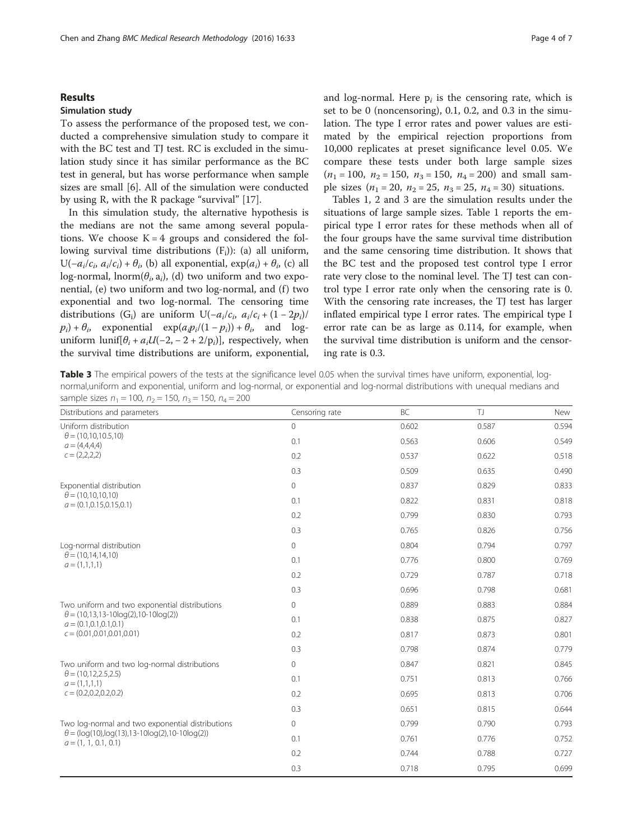#### <span id="page-3-0"></span>Results

#### Simulation study

To assess the performance of the proposed test, we conducted a comprehensive simulation study to compare it with the BC test and TJ test. RC is excluded in the simulation study since it has similar performance as the BC test in general, but has worse performance when sample sizes are small [[6](#page-6-0)]. All of the simulation were conducted by using R, with the R package "survival" [\[17\]](#page-6-0).

In this simulation study, the alternative hypothesis is the medians are not the same among several populations. We choose  $K = 4$  groups and considered the following survival time distributions  $(F_i)$ : (a) all uniform, U( $-a_i/c_i$ ,  $a_i/c_i$ ) +  $\theta_i$ , (b) all exponential, exp( $a_i$ ) +  $\theta_i$ , (c) all log-normal, lnorm( $\theta_i$ , a<sub>i</sub>), (d) two uniform and two exponential, (e) two uniform and two log-normal, and (f) two exponential and two log-normal. The censoring time distributions (G<sub>i</sub>) are uniform U(−a<sub>i</sub>/c<sub>i</sub>, a<sub>i</sub>/c<sub>i</sub> + (1 − 2p<sub>i</sub>)/  $p_i$ ) +  $\theta_i$ , exponential exp( $a_i p_i/(1-p_i)$ ) +  $\theta_i$ , and loguniform lunif[ $\theta_i + a_i U(-2, -2 + 2/p_i)$ ], respectively, when the survival time distributions are uniform, exponential, and log-normal. Here  $p_i$  is the censoring rate, which is set to be 0 (noncensoring), 0.1, 0.2, and 0.3 in the simulation. The type I error rates and power values are estimated by the empirical rejection proportions from 10,000 replicates at preset significance level 0.05. We compare these tests under both large sample sizes  $(n_1 = 100, n_2 = 150, n_3 = 150, n_4 = 200)$  and small sample sizes ( $n_1 = 20$ ,  $n_2 = 25$ ,  $n_3 = 25$ ,  $n_4 = 30$ ) situations.

Tables [1](#page-2-0), [2](#page-2-0) and 3 are the simulation results under the situations of large sample sizes. Table [1](#page-2-0) reports the empirical type I error rates for these methods when all of the four groups have the same survival time distribution and the same censoring time distribution. It shows that the BC test and the proposed test control type I error rate very close to the nominal level. The TJ test can control type I error rate only when the censoring rate is 0. With the censoring rate increases, the TJ test has larger inflated empirical type I error rates. The empirical type I error rate can be as large as 0.114, for example, when the survival time distribution is uniform and the censoring rate is 0.3.

Table 3 The empirical powers of the tests at the significance level 0.05 when the survival times have uniform, exponential, lognormal,uniform and exponential, uniform and log-normal, or exponential and log-normal distributions with unequal medians and sample sizes  $n_1 = 100$ ,  $n_2 = 150$ ,  $n_3 = 150$ ,  $n_4 = 200$ 

| Distributions and parameters                                                                                                       | Censoring rate | BC    | TJ    | New   |
|------------------------------------------------------------------------------------------------------------------------------------|----------------|-------|-------|-------|
| Uniform distribution<br>$\theta = (10, 10, 10.5, 10)$<br>$a = (4,4,4,4)$<br>$c = (2,2,2,2)$                                        | $\overline{0}$ | 0.602 | 0.587 | 0.594 |
|                                                                                                                                    | 0.1            | 0.563 | 0.606 | 0.549 |
|                                                                                                                                    | 0.2            | 0.537 | 0.622 | 0.518 |
|                                                                                                                                    | 0.3            | 0.509 | 0.635 | 0.490 |
| Exponential distribution                                                                                                           | 0              | 0.837 | 0.829 | 0.833 |
| $\theta = (10, 10, 10, 10)$<br>$a = (0.1, 0.15, 0.15, 0.1)$                                                                        | 0.1            | 0.822 | 0.831 | 0.818 |
|                                                                                                                                    | 0.2            | 0.799 | 0.830 | 0.793 |
|                                                                                                                                    | 0.3            | 0.765 | 0.826 | 0.756 |
| Log-normal distribution                                                                                                            | 0              | 0.804 | 0.794 | 0.797 |
| $\theta$ = (10,14,14,10)<br>$a = (1,1,1,1)$                                                                                        | 0.1            | 0.776 | 0.800 | 0.769 |
|                                                                                                                                    | 0.2            | 0.729 | 0.787 | 0.718 |
|                                                                                                                                    | 0.3            | 0.696 | 0.798 | 0.681 |
| Two uniform and two exponential distributions                                                                                      | 0              | 0.889 | 0.883 | 0.884 |
| $\theta = (10, 13, 13 - 10\log(2), 10 - 10\log(2))$<br>$a = (0.1, 0.1, 0.1, 0.1)$                                                  | 0.1            | 0.838 | 0.875 | 0.827 |
| $c = (0.01, 0.01, 0.01, 0.01)$                                                                                                     | 0.2            | 0.817 | 0.873 | 0.801 |
|                                                                                                                                    | 0.3            | 0.798 | 0.874 | 0.779 |
| Two uniform and two log-normal distributions<br>$\theta$ = (10,12,2.5,2.5)<br>$a = (1,1,1,1)$<br>$c = (0.2, 0.2, 0.2, 0.2)$        | $\overline{0}$ | 0.847 | 0.821 | 0.845 |
|                                                                                                                                    | 0.1            | 0.751 | 0.813 | 0.766 |
|                                                                                                                                    | 0.2            | 0.695 | 0.813 | 0.706 |
|                                                                                                                                    | 0.3            | 0.651 | 0.815 | 0.644 |
| Two log-normal and two exponential distributions<br>$\theta = (log(10),log(13),13-10log(2),10-10log(2))$<br>$a = (1, 1, 0.1, 0.1)$ | 0              | 0.799 | 0.790 | 0.793 |
|                                                                                                                                    | 0.1            | 0.761 | 0.776 | 0.752 |
|                                                                                                                                    | 0.2            | 0.744 | 0.788 | 0.727 |
|                                                                                                                                    | 0.3            | 0.718 | 0.795 | 0.699 |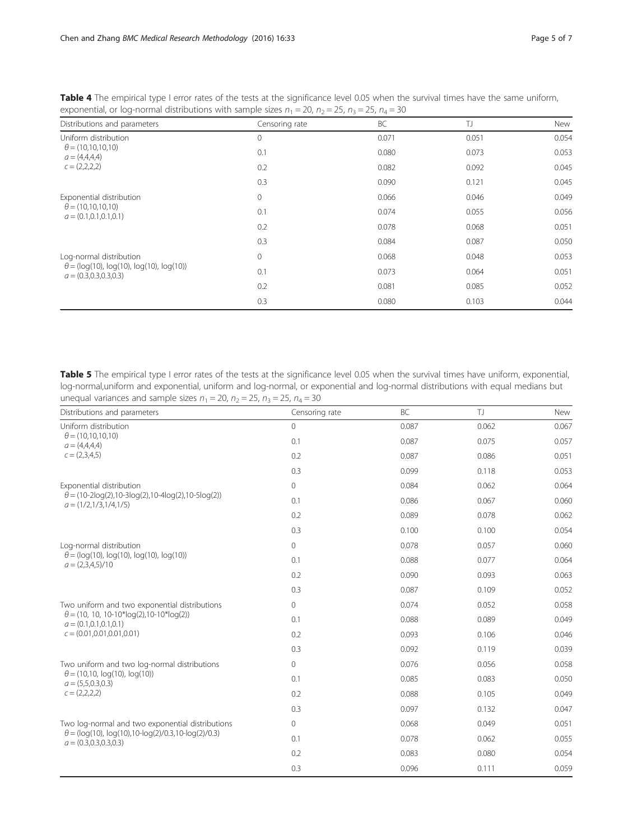| Distributions and parameters                                                                             | Censoring rate | BC    | TJ    | New   |
|----------------------------------------------------------------------------------------------------------|----------------|-------|-------|-------|
| Uniform distribution<br>$\theta = (10, 10, 10, 10)$<br>$a = (4,4,4,4)$<br>$c = (2,2,2,2)$                | $\circ$        | 0.071 | 0.051 | 0.054 |
|                                                                                                          | 0.1            | 0.080 | 0.073 | 0.053 |
|                                                                                                          | 0.2            | 0.082 | 0.092 | 0.045 |
|                                                                                                          | 0.3            | 0.090 | 0.121 | 0.045 |
| Exponential distribution<br>$\theta = (10, 10, 10, 10)$<br>$a = (0.1, 0.1, 0.1, 0.1)$                    | $\mathbf{0}$   | 0.066 | 0.046 | 0.049 |
|                                                                                                          | 0.1            | 0.074 | 0.055 | 0.056 |
|                                                                                                          | 0.2            | 0.078 | 0.068 | 0.051 |
|                                                                                                          | 0.3            | 0.084 | 0.087 | 0.050 |
| Log-normal distribution<br>$\theta = (log(10), log(10), log(10), log(10))$<br>$a = (0.3, 0.3, 0.3, 0.3)$ | $\mathbf{0}$   | 0.068 | 0.048 | 0.053 |
|                                                                                                          | 0.1            | 0.073 | 0.064 | 0.051 |
|                                                                                                          | 0.2            | 0.081 | 0.085 | 0.052 |
|                                                                                                          | 0.3            | 0.080 | 0.103 | 0.044 |

<span id="page-4-0"></span>Table 4 The empirical type I error rates of the tests at the significance level 0.05 when the survival times have the same uniform, exponential, or log-normal distributions with sample sizes  $n_1 = 20$ ,  $n_2 = 25$ ,  $n_3 = 25$ ,  $n_4 = 30$ 

Table 5 The empirical type I error rates of the tests at the significance level 0.05 when the survival times have uniform, exponential, log-normal,uniform and exponential, uniform and log-normal, or exponential and log-normal distributions with equal medians but unequal variances and sample sizes  $n_1 = 20$ ,  $n_2 = 25$ ,  $n_3 = 25$ ,  $n_4 = 30$ 

| Distributions and parameters                                                                                | Censoring rate | <b>BC</b> | T)    | New   |
|-------------------------------------------------------------------------------------------------------------|----------------|-----------|-------|-------|
| Uniform distribution<br>$\theta = (10, 10, 10, 10)$<br>$a = (4,4,4,4)$<br>$c = (2,3,4,5)$                   | 0              | 0.087     | 0.062 | 0.067 |
|                                                                                                             | 0.1            | 0.087     | 0.075 | 0.057 |
|                                                                                                             | 0.2            | 0.087     | 0.086 | 0.051 |
|                                                                                                             | 0.3            | 0.099     | 0.118 | 0.053 |
| Exponential distribution                                                                                    | $\mathbf{0}$   | 0.084     | 0.062 | 0.064 |
| $\theta = (10-2\log(2), 10-3\log(2), 10-4\log(2), 10-5\log(2))$<br>$a = (1/2, 1/3, 1/4, 1/5)$               | 0.1            | 0.086     | 0.067 | 0.060 |
|                                                                                                             | 0.2            | 0.089     | 0.078 | 0.062 |
|                                                                                                             | 0.3            | 0.100     | 0.100 | 0.054 |
| Log-normal distribution                                                                                     | 0              | 0.078     | 0.057 | 0.060 |
| $\theta = (log(10), log(10), log(10), log(10))$<br>$a = (2,3,4,5)/10$                                       | 0.1            | 0.088     | 0.077 | 0.064 |
|                                                                                                             | 0.2            | 0.090     | 0.093 | 0.063 |
|                                                                                                             | 0.3            | 0.087     | 0.109 | 0.052 |
| Two uniform and two exponential distributions                                                               | 0              | 0.074     | 0.052 | 0.058 |
| $\theta$ = (10, 10, 10-10*log(2), 10-10*log(2))<br>$a = (0.1, 0.1, 0.1, 0.1)$                               | 0.1            | 0.088     | 0.089 | 0.049 |
| $c = (0.01, 0.01, 0.01, 0.01)$                                                                              | 0.2            | 0.093     | 0.106 | 0.046 |
|                                                                                                             | 0.3            | 0.092     | 0.119 | 0.039 |
| Two uniform and two log-normal distributions<br>$\theta$ = (10,10, log(10), log(10))<br>$a = (5,5,0.3,0.3)$ | $\mathbf{0}$   | 0.076     | 0.056 | 0.058 |
|                                                                                                             | 0.1            | 0.085     | 0.083 | 0.050 |
| $c = (2,2,2,2)$                                                                                             | 0.2            | 0.088     | 0.105 | 0.049 |
|                                                                                                             | 0.3            | 0.097     | 0.132 | 0.047 |
| Two log-normal and two exponential distributions                                                            | 0              | 0.068     | 0.049 | 0.051 |
| $\theta = (log(10), log(10), 10 - log(2)/0.3, 10 - log(2)/0.3)$<br>$a = (0.3, 0.3, 0.3, 0.3)$               | 0.1            | 0.078     | 0.062 | 0.055 |
|                                                                                                             | 0.2            | 0.083     | 0.080 | 0.054 |
|                                                                                                             | 0.3            | 0.096     | 0.111 | 0.059 |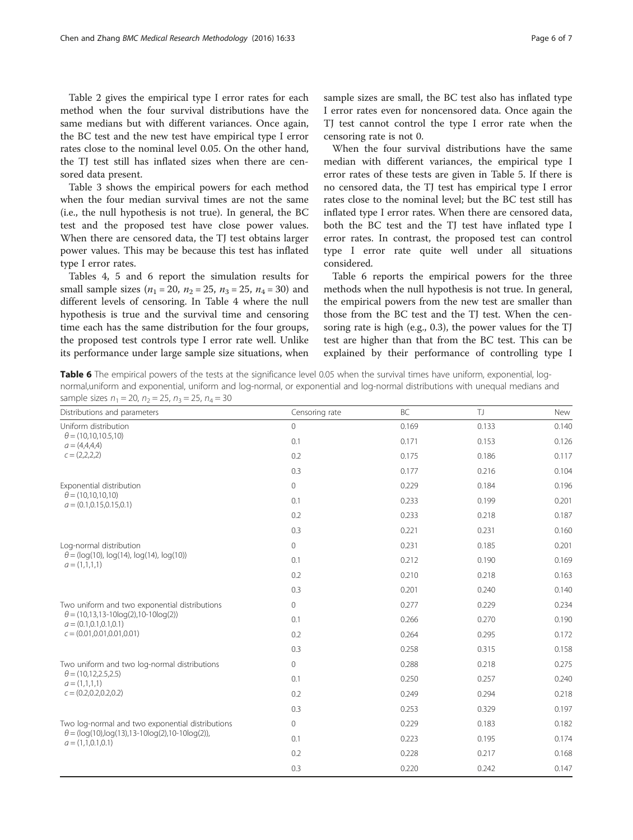Table [2](#page-2-0) gives the empirical type I error rates for each method when the four survival distributions have the same medians but with different variances. Once again, the BC test and the new test have empirical type I error rates close to the nominal level 0.05. On the other hand, the TJ test still has inflated sizes when there are censored data present.

Table [3](#page-3-0) shows the empirical powers for each method when the four median survival times are not the same (i.e., the null hypothesis is not true). In general, the BC test and the proposed test have close power values. When there are censored data, the TJ test obtains larger power values. This may be because this test has inflated type I error rates.

Tables [4, 5](#page-4-0) and 6 report the simulation results for small sample sizes ( $n_1 = 20$ ,  $n_2 = 25$ ,  $n_3 = 25$ ,  $n_4 = 30$ ) and different levels of censoring. In Table [4](#page-4-0) where the null hypothesis is true and the survival time and censoring time each has the same distribution for the four groups, the proposed test controls type I error rate well. Unlike its performance under large sample size situations, when sample sizes are small, the BC test also has inflated type I error rates even for noncensored data. Once again the TJ test cannot control the type I error rate when the censoring rate is not 0.

When the four survival distributions have the same median with different variances, the empirical type I error rates of these tests are given in Table [5.](#page-4-0) If there is no censored data, the TJ test has empirical type I error rates close to the nominal level; but the BC test still has inflated type I error rates. When there are censored data, both the BC test and the TJ test have inflated type I error rates. In contrast, the proposed test can control type I error rate quite well under all situations considered.

Table 6 reports the empirical powers for the three methods when the null hypothesis is not true. In general, the empirical powers from the new test are smaller than those from the BC test and the TJ test. When the censoring rate is high (e.g., 0.3), the power values for the TJ test are higher than that from the BC test. This can be explained by their performance of controlling type I

Table 6 The empirical powers of the tests at the significance level 0.05 when the survival times have uniform, exponential, lognormal,uniform and exponential, uniform and log-normal, or exponential and log-normal distributions with unequal medians and sample sizes  $n_1 = 20$ ,  $n_2 = 25$ ,  $n_3 = 25$ ,  $n_4 = 30$ 

| Distributions and parameters                                                                                                | Censoring rate | BC    | TJ.   | <b>New</b> |
|-----------------------------------------------------------------------------------------------------------------------------|----------------|-------|-------|------------|
| Uniform distribution<br>$\theta = (10, 10, 10.5, 10)$<br>$a = (4,4,4,4)$<br>$c = (2,2,2,2)$                                 | $\overline{0}$ | 0.169 | 0.133 | 0.140      |
|                                                                                                                             | 0.1            | 0.171 | 0.153 | 0.126      |
|                                                                                                                             | 0.2            | 0.175 | 0.186 | 0.117      |
|                                                                                                                             | 0.3            | 0.177 | 0.216 | 0.104      |
| Exponential distribution                                                                                                    | 0              | 0.229 | 0.184 | 0.196      |
| $\theta = (10, 10, 10, 10)$<br>$a = (0.1, 0.15, 0.15, 0.1)$                                                                 | 0.1            | 0.233 | 0.199 | 0.201      |
|                                                                                                                             | 0.2            | 0.233 | 0.218 | 0.187      |
|                                                                                                                             | 0.3            | 0.221 | 0.231 | 0.160      |
| Log-normal distribution                                                                                                     | 0              | 0.231 | 0.185 | 0.201      |
| $\theta = (log(10), log(14), log(14), log(10))$<br>$a = (1,1,1,1)$                                                          | 0.1            | 0.212 | 0.190 | 0.169      |
|                                                                                                                             | 0.2            | 0.210 | 0.218 | 0.163      |
|                                                                                                                             | 0.3            | 0.201 | 0.240 | 0.140      |
| Two uniform and two exponential distributions                                                                               | 0              | 0.277 | 0.229 | 0.234      |
| $\theta = (10, 13, 13 - 10\log(2), 10 - 10\log(2))$<br>$a = (0.1, 0.1, 0.1, 0.1)$                                           | 0.1            | 0.266 | 0.270 | 0.190      |
| $c = (0.01, 0.01, 0.01, 0.01)$                                                                                              | 0.2            | 0.264 | 0.295 | 0.172      |
|                                                                                                                             | 0.3            | 0.258 | 0.315 | 0.158      |
| Two uniform and two log-normal distributions<br>$\theta$ = (10,12,2.5,2.5)<br>$a = (1,1,1,1)$<br>$c = (0.2, 0.2, 0.2, 0.2)$ | 0              | 0.288 | 0.218 | 0.275      |
|                                                                                                                             | 0.1            | 0.250 | 0.257 | 0.240      |
|                                                                                                                             | 0.2            | 0.249 | 0.294 | 0.218      |
|                                                                                                                             | 0.3            | 0.253 | 0.329 | 0.197      |
| Two log-normal and two exponential distributions                                                                            | 0              | 0.229 | 0.183 | 0.182      |
| $\theta = (log(10), log(13), 13 - 10log(2), 10 - 10log(2)),$<br>$a = (1,1,0.1,0.1)$                                         | 0.1            | 0.223 | 0.195 | 0.174      |
|                                                                                                                             | 0.2            | 0.228 | 0.217 | 0.168      |
|                                                                                                                             | 0.3            | 0.220 | 0.242 | 0.147      |